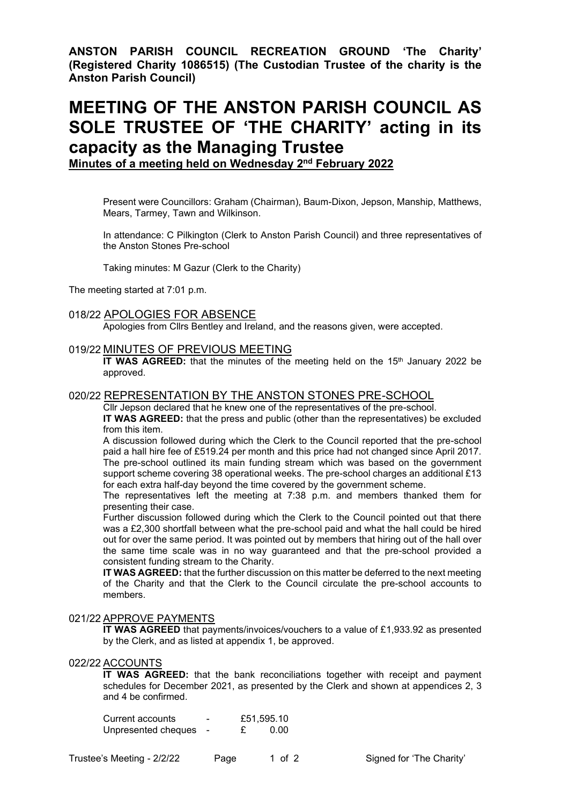**ANSTON PARISH COUNCIL RECREATION GROUND 'The Charity' (Registered Charity 1086515) (The Custodian Trustee of the charity is the Anston Parish Council)**

# **MEETING OF THE ANSTON PARISH COUNCIL AS SOLE TRUSTEE OF 'THE CHARITY' acting in its capacity as the Managing Trustee**

**Minutes of a meeting held on Wednesday 2 nd February 2022**

Present were Councillors: Graham (Chairman), Baum-Dixon, Jepson, Manship, Matthews, Mears, Tarmey, Tawn and Wilkinson.

In attendance: C Pilkington (Clerk to Anston Parish Council) and three representatives of the Anston Stones Pre-school

Taking minutes: M Gazur (Clerk to the Charity)

The meeting started at 7:01 p.m.

# 018/22 APOLOGIES FOR ABSENCE

Apologies from Cllrs Bentley and Ireland, and the reasons given, were accepted.

## 019/22 MINUTES OF PREVIOUS MEETING

**IT WAS AGREED:** that the minutes of the meeting held on the 15<sup>th</sup> January 2022 be approved.

# 020/22 REPRESENTATION BY THE ANSTON STONES PRE-SCHOOL

Cllr Jepson declared that he knew one of the representatives of the pre-school.

**IT WAS AGREED:** that the press and public (other than the representatives) be excluded from this item.

A discussion followed during which the Clerk to the Council reported that the pre-school paid a hall hire fee of £519.24 per month and this price had not changed since April 2017. The pre-school outlined its main funding stream which was based on the government support scheme covering 38 operational weeks. The pre-school charges an additional £13 for each extra half-day beyond the time covered by the government scheme.

The representatives left the meeting at 7:38 p.m. and members thanked them for presenting their case.

Further discussion followed during which the Clerk to the Council pointed out that there was a £2,300 shortfall between what the pre-school paid and what the hall could be hired out for over the same period. It was pointed out by members that hiring out of the hall over the same time scale was in no way guaranteed and that the pre-school provided a consistent funding stream to the Charity.

**IT WAS AGREED:** that the further discussion on this matter be deferred to the next meeting of the Charity and that the Clerk to the Council circulate the pre-school accounts to members.

# 021/22 APPROVE PAYMENTS

**IT WAS AGREED** that payments/invoices/vouchers to a value of £1,933.92 as presented by the Clerk, and as listed at appendix 1, be approved.

# 022/22 ACCOUNTS

**IT WAS AGREED:** that the bank reconciliations together with receipt and payment schedules for December 2021, as presented by the Clerk and shown at appendices 2, 3 and 4 be confirmed.

| Current accounts    | - | £51,595.10 |
|---------------------|---|------------|
| Unpresented cheques |   | 0.00       |

Trustee's Meeting - 2/2/22 Page 1 of 2 Signed for 'The Charity'